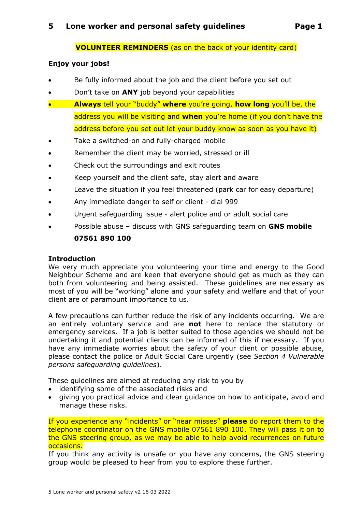### **VOLUNTEER REMINDERS** (as on the back of your identity card)

#### **Enjoy your jobs!**

- Be fully informed about the job and the client before you set out
- Don't take on **ANY** job beyond your capabilities
- **Always** tell your "buddy" **where** you're going, **how long** you'll be, the address you will be visiting and **when** you're home (if you don't have the address before you set out let your buddy know as soon as you have it)
- Take a switched-on and fully-charged mobile
- Remember the client may be worried, stressed or ill
- Check out the surroundings and exit routes
- Keep yourself and the client safe, stay alert and aware
- Leave the situation if you feel threatened (park car for easy departure)
- Any immediate danger to self or client dial 999
- Urgent safeguarding issue alert police and or adult social care
- Possible abuse discuss with GNS safeguarding team on **GNS mobile 07561 890 100**

#### **Introduction**

We very much appreciate you volunteering your time and energy to the Good Neighbour Scheme and are keen that everyone should get as much as they can both from volunteering and being assisted. These guidelines are necessary as most of you will be "working" alone and your safety and welfare and that of your client are of paramount importance to us.

A few precautions can further reduce the risk of any incidents occurring. We are an entirely voluntary service and are **not** here to replace the statutory or emergency services. If a job is better suited to those agencies we should not be undertaking it and potential clients can be informed of this if necessary. If you have any immediate worries about the safety of your client or possible abuse, please contact the police or Adult Social Care urgently (see *Section 4 Vulnerable persons safeguarding guidelines*).

These guidelines are aimed at reducing any risk to you by

- identifying some of the associated risks and
- giving you practical advice and clear guidance on how to anticipate, avoid and manage these risks.

If you experience any "incidents" or "near misses" **please** do report them to the telephone coordinator on the GNS mobile 07561 890 100. They will pass it on to the GNS steering group, as we may be able to help avoid recurrences on future occasions.

If you think any activity is unsafe or you have any concerns, the GNS steering group would be pleased to hear from you to explore these further.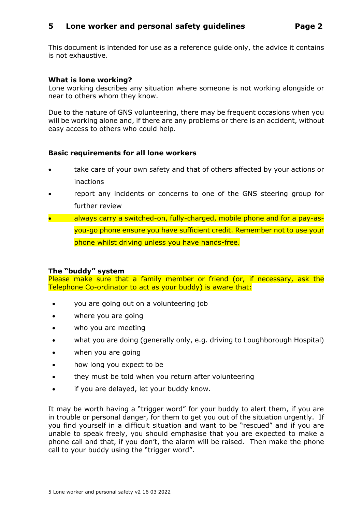# **5 Lone worker and personal safety guidelines Page 2**

This document is intended for use as a reference guide only, the advice it contains is not exhaustive.

### **What is lone working?**

Lone working describes any situation where someone is not working alongside or near to others whom they know.

Due to the nature of GNS volunteering, there may be frequent occasions when you will be working alone and, if there are any problems or there is an accident, without easy access to others who could help.

#### **Basic requirements for all lone workers**

- take care of your own safety and that of others affected by your actions or inactions
- report any incidents or concerns to one of the GNS steering group for further review
- always carry a switched-on, fully-charged, mobile phone and for a pay-asyou-go phone ensure you have sufficient credit. Remember not to use your phone whilst driving unless you have hands-free.

#### **The "buddy" system**

Please make sure that a family member or friend (or, if necessary, ask the Telephone Co-ordinator to act as your buddy) is aware that:

- you are going out on a volunteering job
- where you are going
- who you are meeting
- what you are doing (generally only, e.g. driving to Loughborough Hospital)
- when you are going
- how long you expect to be
- they must be told when you return after volunteering
- if you are delayed, let your buddy know.

It may be worth having a "trigger word" for your buddy to alert them, if you are in trouble or personal danger, for them to get you out of the situation urgently. If you find yourself in a difficult situation and want to be "rescued" and if you are unable to speak freely, you should emphasise that you are expected to make a phone call and that, if you don't, the alarm will be raised. Then make the phone call to your buddy using the "trigger word".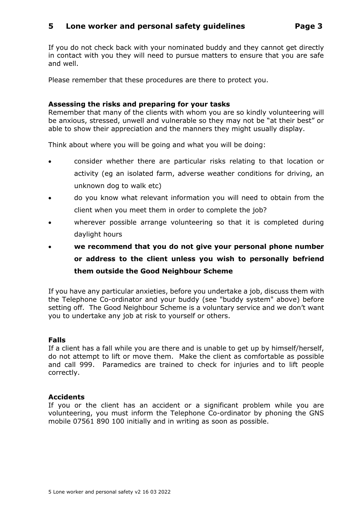# **5 Lone worker and personal safety guidelines Page 3**

If you do not check back with your nominated buddy and they cannot get directly in contact with you they will need to pursue matters to ensure that you are safe and well.

Please remember that these procedures are there to protect you.

#### **Assessing the risks and preparing for your tasks**

Remember that many of the clients with whom you are so kindly volunteering will be anxious, stressed, unwell and vulnerable so they may not be "at their best" or able to show their appreciation and the manners they might usually display.

Think about where you will be going and what you will be doing:

- consider whether there are particular risks relating to that location or activity (eg an isolated farm, adverse weather conditions for driving, an unknown dog to walk etc)
- do you know what relevant information you will need to obtain from the client when you meet them in order to complete the job?
- wherever possible arrange volunteering so that it is completed during daylight hours
- **we recommend that you do not give your personal phone number or address to the client unless you wish to personally befriend them outside the Good Neighbour Scheme**

If you have any particular anxieties, before you undertake a job, discuss them with the Telephone Co-ordinator and your buddy (see "buddy system" above) before setting off. The Good Neighbour Scheme is a voluntary service and we don't want you to undertake any job at risk to yourself or others.

#### **Falls**

If a client has a fall while you are there and is unable to get up by himself/herself, do not attempt to lift or move them. Make the client as comfortable as possible and call 999. Paramedics are trained to check for injuries and to lift people correctly.

#### **Accidents**

If you or the client has an accident or a significant problem while you are volunteering, you must inform the Telephone Co-ordinator by phoning the GNS mobile 07561 890 100 initially and in writing as soon as possible.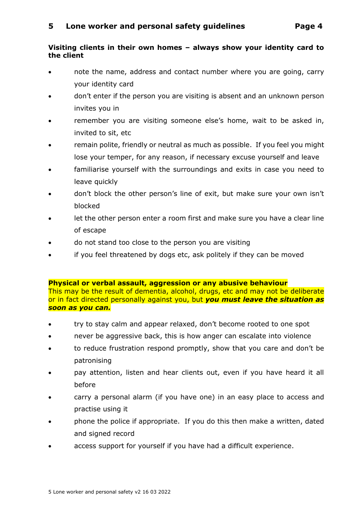# **Visiting clients in their own homes – always show your identity card to the client**

- note the name, address and contact number where you are going, carry your identity card
- don't enter if the person you are visiting is absent and an unknown person invites you in
- remember you are visiting someone else's home, wait to be asked in, invited to sit, etc
- remain polite, friendly or neutral as much as possible. If you feel you might lose your temper, for any reason, if necessary excuse yourself and leave
- familiarise yourself with the surroundings and exits in case you need to leave quickly
- don't block the other person's line of exit, but make sure your own isn't blocked
- let the other person enter a room first and make sure you have a clear line of escape
- do not stand too close to the person you are visiting
- if you feel threatened by dogs etc, ask politely if they can be moved

#### **Physical or verbal assault, aggression or any abusive behaviour**

This may be the result of dementia, alcohol, drugs, etc and may not be deliberate or in fact directed personally against you, but *you must leave the situation as soon as you can.*

- try to stay calm and appear relaxed, don't become rooted to one spot
- never be aggressive back, this is how anger can escalate into violence
- to reduce frustration respond promptly, show that you care and don't be patronising
- pay attention, listen and hear clients out, even if you have heard it all before
- carry a personal alarm (if you have one) in an easy place to access and practise using it
- phone the police if appropriate. If you do this then make a written, dated and signed record
- access support for yourself if you have had a difficult experience.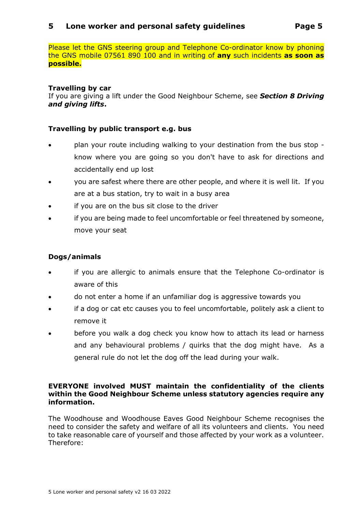# **5 Lone worker and personal safety guidelines Page 5**

Please let the GNS steering group and Telephone Co-ordinator know by phoning the GNS mobile 07561 890 100 and in writing of **any** such incidents **as soon as possible.**

# **Travelling by car**

If you are giving a lift under the Good Neighbour Scheme, see *Section 8 Driving and giving lifts***.**

# **Travelling by public transport e.g. bus**

- plan your route including walking to your destination from the bus stop know where you are going so you don't have to ask for directions and accidentally end up lost
- you are safest where there are other people, and where it is well lit. If you are at a bus station, try to wait in a busy area
- if you are on the bus sit close to the driver
- if you are being made to feel uncomfortable or feel threatened by someone, move your seat

# **Dogs/animals**

- if you are allergic to animals ensure that the Telephone Co-ordinator is aware of this
- do not enter a home if an unfamiliar dog is aggressive towards you
- if a dog or cat etc causes you to feel uncomfortable, politely ask a client to remove it
- before you walk a dog check you know how to attach its lead or harness and any behavioural problems / quirks that the dog might have. As a general rule do not let the dog off the lead during your walk.

#### **EVERYONE involved MUST maintain the confidentiality of the clients within the Good Neighbour Scheme unless statutory agencies require any information.**

The Woodhouse and Woodhouse Eaves Good Neighbour Scheme recognises the need to consider the safety and welfare of all its volunteers and clients. You need to take reasonable care of yourself and those affected by your work as a volunteer. Therefore: